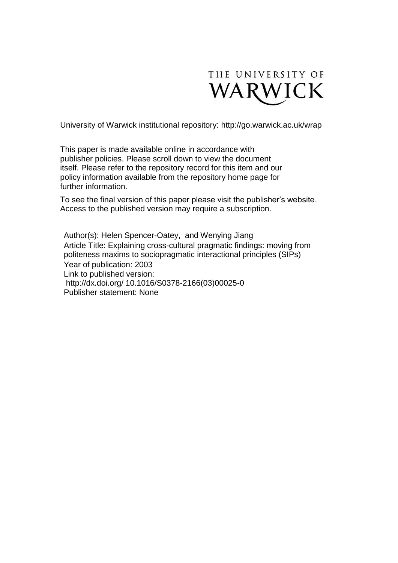

University of Warwick institutional repository:<http://go.warwick.ac.uk/wrap>

This paper is made available online in accordance with publisher policies. Please scroll down to view the document itself. Please refer to the repository record for this item and our policy information available from the repository home page for further information.

To see the final version of this paper please visit the publisher's website. Access to the published version may require a subscription.

Author(s): Helen Spencer-Oatey, and Wenying Jiang Article Title: Explaining cross-cultural pragmatic findings: moving from politeness maxims to sociopragmatic interactional principles (SIPs) Year of publication: 2003 Link to published version: http://dx.doi.org/ 10.1016/S0378-2166(03)00025-0 Publisher statement: None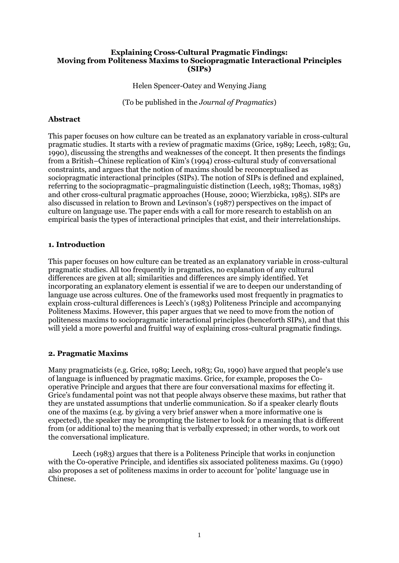#### **Explaining Cross-Cultural Pragmatic Findings: Moving from Politeness Maxims to Sociopragmatic Interactional Principles (SIPs)**

Helen Spencer-Oatey and Wenying Jiang

(To be published in the *Journal of Pragmatics*)

#### **Abstract**

This paper focuses on how culture can be treated as an explanatory variable in cross-cultural pragmatic studies. It starts with a review of pragmatic maxims (Grice, 1989; Leech, 1983; Gu, 1990), discussing the strengths and weaknesses of the concept. It then presents the findings from a British–Chinese replication of Kim's (1994) cross-cultural study of conversational constraints, and argues that the notion of maxims should be reconceptualised as sociopragmatic interactional principles (SIPs). The notion of SIPs is defined and explained, referring to the sociopragmatic–pragmalinguistic distinction (Leech, 1983; Thomas, 1983) and other cross-cultural pragmatic approaches (House, 2000; Wierzbicka, 1985). SIPs are also discussed in relation to Brown and Levinson's (1987) perspectives on the impact of culture on language use. The paper ends with a call for more research to establish on an empirical basis the types of interactional principles that exist, and their interrelationships.

#### **1. Introduction**

This paper focuses on how culture can be treated as an explanatory variable in cross-cultural pragmatic studies. All too frequently in pragmatics, no explanation of any cultural differences are given at all; similarities and differences are simply identified. Yet incorporating an explanatory element is essential if we are to deepen our understanding of language use across cultures. One of the frameworks used most frequently in pragmatics to explain cross-cultural differences is Leech's (1983) Politeness Principle and accompanying Politeness Maxims. However, this paper argues that we need to move from the notion of politeness maxims to sociopragmatic interactional principles (henceforth SIPs), and that this will yield a more powerful and fruitful way of explaining cross-cultural pragmatic findings.

### **2. Pragmatic Maxims**

Many pragmaticists (e.g. Grice, 1989; Leech, 1983; Gu, 1990) have argued that people's use of language is influenced by pragmatic maxims. Grice, for example, proposes the Cooperative Principle and argues that there are four conversational maxims for effecting it. Grice's fundamental point was not that people always observe these maxims, but rather that they are unstated assumptions that underlie communication. So if a speaker clearly flouts one of the maxims (e.g. by giving a very brief answer when a more informative one is expected), the speaker may be prompting the listener to look for a meaning that is different from (or additional to) the meaning that is verbally expressed; in other words, to work out the conversational implicature.

Leech (1983) argues that there is a Politeness Principle that works in conjunction with the Co-operative Principle, and identifies six associated politeness maxims. Gu (1990) also proposes a set of politeness maxims in order to account for 'polite' language use in Chinese.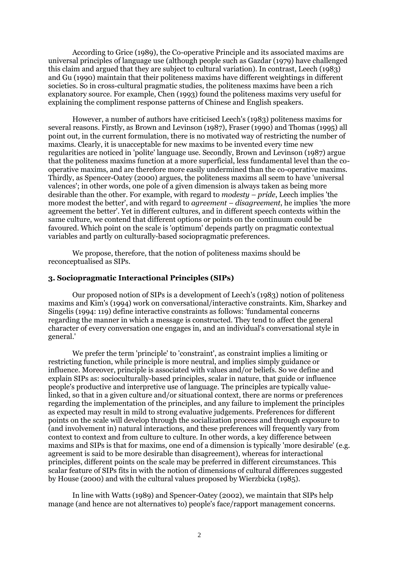According to Grice (1989), the Co-operative Principle and its associated maxims are universal principles of language use (although people such as Gazdar (1979) have challenged this claim and argued that they are subject to cultural variation). In contrast, Leech (1983) and Gu (1990) maintain that their politeness maxims have different weightings in different societies. So in cross-cultural pragmatic studies, the politeness maxims have been a rich explanatory source. For example, Chen (1993) found the politeness maxims very useful for explaining the compliment response patterns of Chinese and English speakers.

However, a number of authors have criticised Leech's (1983) politeness maxims for several reasons. Firstly, as Brown and Levinson (1987), Fraser (1990) and Thomas (1995) all point out, in the current formulation, there is no motivated way of restricting the number of maxims. Clearly, it is unacceptable for new maxims to be invented every time new regularities are noticed in 'polite' language use. Secondly, Brown and Levinson (1987) argue that the politeness maxims function at a more superficial, less fundamental level than the cooperative maxims, and are therefore more easily undermined than the co-operative maxims. Thirdly, as Spencer-Oatey (2000) argues, the politeness maxims all seem to have 'universal valences'; in other words, one pole of a given dimension is always taken as being more desirable than the other. For example, with regard to *modesty – pride*, Leech implies 'the more modest the better', and with regard to *agreement – disagreement*, he implies 'the more agreement the better'. Yet in different cultures, and in different speech contexts within the same culture, we contend that different options or points on the continuum could be favoured. Which point on the scale is 'optimum' depends partly on pragmatic contextual variables and partly on culturally-based sociopragmatic preferences.

We propose, therefore, that the notion of politeness maxims should be reconceptualised as SIPs.

#### **3. Sociopragmatic Interactional Principles (SIPs)**

Our proposed notion of SIPs is a development of Leech's (1983) notion of politeness maxims and Kim's (1994) work on conversational/interactive constraints. Kim, Sharkey and Singelis (1994: 119) define interactive constraints as follows: 'fundamental concerns regarding the manner in which a message is constructed. They tend to affect the general character of every conversation one engages in, and an individual's conversational style in general.'

We prefer the term 'principle' to 'constraint', as constraint implies a limiting or restricting function, while principle is more neutral, and implies simply guidance or influence. Moreover, principle is associated with values and/or beliefs. So we define and explain SIPs as: socioculturally-based principles, scalar in nature, that guide or influence people's productive and interpretive use of language. The principles are typically valuelinked, so that in a given culture and/or situational context, there are norms or preferences regarding the implementation of the principles, and any failure to implement the principles as expected may result in mild to strong evaluative judgements. Preferences for different points on the scale will develop through the socialization process and through exposure to (and involvement in) natural interactions, and these preferences will frequently vary from context to context and from culture to culture. In other words, a key difference between maxims and SIPs is that for maxims, one end of a dimension is typically 'more desirable' (e.g. agreement is said to be more desirable than disagreement), whereas for interactional principles, different points on the scale may be preferred in different circumstances. This scalar feature of SIPs fits in with the notion of dimensions of cultural differences suggested by House (2000) and with the cultural values proposed by Wierzbicka (1985).

In line with Watts (1989) and Spencer-Oatey (2002), we maintain that SIPs help manage (and hence are not alternatives to) people's face/rapport management concerns.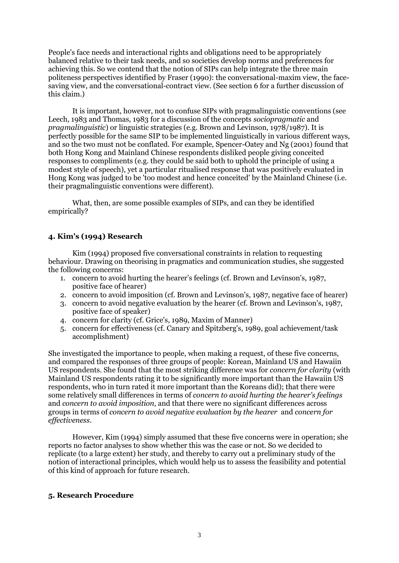People's face needs and interactional rights and obligations need to be appropriately balanced relative to their task needs, and so societies develop norms and preferences for achieving this. So we contend that the notion of SIPs can help integrate the three main politeness perspectives identified by Fraser (1990): the conversational-maxim view, the facesaving view, and the conversational-contract view. (See section 6 for a further discussion of this claim.)

It is important, however, not to confuse SIPs with pragmalinguistic conventions (see Leech, 1983 and Thomas, 1983 for a discussion of the concepts *sociopragmatic* and *pragmalinguistic*) or linguistic strategies (e.g. Brown and Levinson, 1978/1987). It is perfectly possible for the same SIP to be implemented linguistically in various different ways, and so the two must not be conflated. For example, Spencer-Oatey and Ng (2001) found that both Hong Kong and Mainland Chinese respondents disliked people giving conceited responses to compliments (e.g. they could be said both to uphold the principle of using a modest style of speech), yet a particular ritualised response that was positively evaluated in Hong Kong was judged to be 'too modest and hence conceited' by the Mainland Chinese (i.e. their pragmalinguistic conventions were different).

What, then, are some possible examples of SIPs, and can they be identified empirically?

### **4. Kim's (1994) Research**

Kim (1994) proposed five conversational constraints in relation to requesting behaviour. Drawing on theorising in pragmatics and communication studies, she suggested the following concerns:

- 1. concern to avoid hurting the hearer's feelings (cf. Brown and Levinson's, 1987, positive face of hearer)
- 2. concern to avoid imposition (cf. Brown and Levinson's, 1987, negative face of hearer)
- 3. concern to avoid negative evaluation by the hearer (cf. Brown and Levinson's, 1987, positive face of speaker)
- 4. concern for clarity (cf. Grice's, 1989, Maxim of Manner)
- 5. concern for effectiveness (cf. Canary and Spitzberg's, 1989, goal achievement/task accomplishment)

She investigated the importance to people, when making a request, of these five concerns, and compared the responses of three groups of people: Korean, Mainland US and Hawaiin US respondents. She found that the most striking difference was for *concern for clarity* (with Mainland US respondents rating it to be significantly more important than the Hawaiin US respondents, who in turn rated it more important than the Koreans did); that there were some relatively small differences in terms of *concern to avoid hurting the hearer's feelings* and *concern to avoid imposition*, and that there were no significant differences across groups in terms of *concern to avoid negative evaluation by the hearer* and *concern for effectiveness*.

However, Kim (1994) simply assumed that these five concerns were in operation; she reports no factor analyses to show whether this was the case or not. So we decided to replicate (to a large extent) her study, and thereby to carry out a preliminary study of the notion of interactional principles, which would help us to assess the feasibility and potential of this kind of approach for future research.

#### **5. Research Procedure**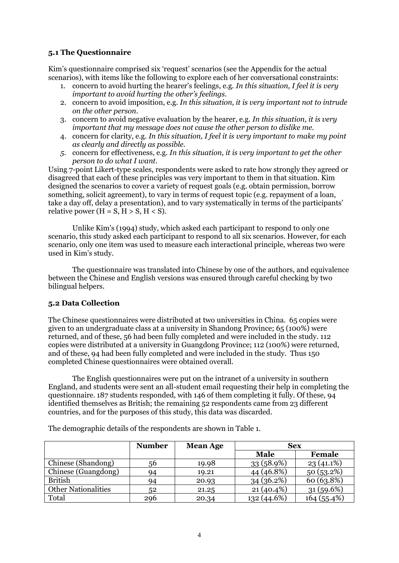# **5.1 The Questionnaire**

Kim's questionnaire comprised six 'request' scenarios (see the Appendix for the actual scenarios), with items like the following to explore each of her conversational constraints:

- 1. concern to avoid hurting the hearer's feelings, e.g. *In this situation, I feel it is very important to avoid hurting the other's feelings.*
- 2. concern to avoid imposition, e.g. *In this situation, it is very important not to intrude on the other person.*
- 3. concern to avoid negative evaluation by the hearer, e.g. *In this situation, it is very important that my message does not cause the other person to dislike me.*
- 4. concern for clarity, e.g. *In this situation, I feel it is very important to make my point as clearly and directly as possible.*
- *5.* concern for effectiveness, e.g. *In this situation, it is very important to get the other person to do what I want.*

Using 7-point Likert-type scales, respondents were asked to rate how strongly they agreed or disagreed that each of these principles was very important to them in that situation. Kim designed the scenarios to cover a variety of request goals (e.g. obtain permission, borrow something, solicit agreement), to vary in terms of request topic (e.g. repayment of a loan, take a day off, delay a presentation), and to vary systematically in terms of the participants' relative power  $(H = S, H > S, H < S)$ .

Unlike Kim's (1994) study, which asked each participant to respond to only one scenario, this study asked each participant to respond to all six scenarios. However, for each scenario, only one item was used to measure each interactional principle, whereas two were used in Kim's study.

The questionnaire was translated into Chinese by one of the authors, and equivalence between the Chinese and English versions was ensured through careful checking by two bilingual helpers.

### **5.2 Data Collection**

The Chinese questionnaires were distributed at two universities in China. 65 copies were given to an undergraduate class at a university in Shandong Province; 65 (100%) were returned, and of these, 56 had been fully completed and were included in the study. 112 copies were distributed at a university in Guangdong Province; 112 (100%) were returned, and of these, 94 had been fully completed and were included in the study. Thus 150 completed Chinese questionnaires were obtained overall.

The English questionnaires were put on the intranet of a university in southern England, and students were sent an all-student email requesting their help in completing the questionnaire. 187 students responded, with 146 of them completing it fully. Of these, 94 identified themselves as British; the remaining 52 respondents came from 23 different countries, and for the purposes of this study, this data was discarded.

|                            | <b>Number</b> | <b>Mean Age</b> | <b>Sex</b>   |               |  |
|----------------------------|---------------|-----------------|--------------|---------------|--|
|                            |               |                 | <b>Male</b>  | <b>Female</b> |  |
| Chinese (Shandong)         | 56            | 19.98           | 33(58.9%)    | $23(41.1\%)$  |  |
| Chinese (Guangdong)        | 94            | 19.21           | 44 (46.8%)   | 50(53.2%)     |  |
| <b>British</b>             | 94            | 20.93           | $34(36.2\%)$ | 60 (63.8%)    |  |
| <b>Other Nationalities</b> | 52            | 21.25           | $21(40.4\%)$ | 31(59.6%)     |  |
| Total                      | 296           | 20.34           | 132 (44.6%)  | 164(55.4%)    |  |

The demographic details of the respondents are shown in Table 1.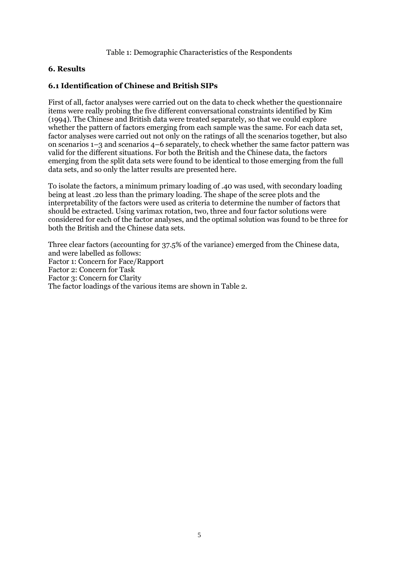Table 1: Demographic Characteristics of the Respondents

# **6. Results**

# **6.1 Identification of Chinese and British SIPs**

First of all, factor analyses were carried out on the data to check whether the questionnaire items were really probing the five different conversational constraints identified by Kim (1994). The Chinese and British data were treated separately, so that we could explore whether the pattern of factors emerging from each sample was the same. For each data set, factor analyses were carried out not only on the ratings of all the scenarios together, but also on scenarios 1–3 and scenarios 4–6 separately, to check whether the same factor pattern was valid for the different situations. For both the British and the Chinese data, the factors emerging from the split data sets were found to be identical to those emerging from the full data sets, and so only the latter results are presented here.

To isolate the factors, a minimum primary loading of .40 was used, with secondary loading being at least .20 less than the primary loading. The shape of the scree plots and the interpretability of the factors were used as criteria to determine the number of factors that should be extracted. Using varimax rotation, two, three and four factor solutions were considered for each of the factor analyses, and the optimal solution was found to be three for both the British and the Chinese data sets.

Three clear factors (accounting for 37.5% of the variance) emerged from the Chinese data, and were labelled as follows: Factor 1: Concern for Face/Rapport Factor 2: Concern for Task Factor 3: Concern for Clarity The factor loadings of the various items are shown in Table 2.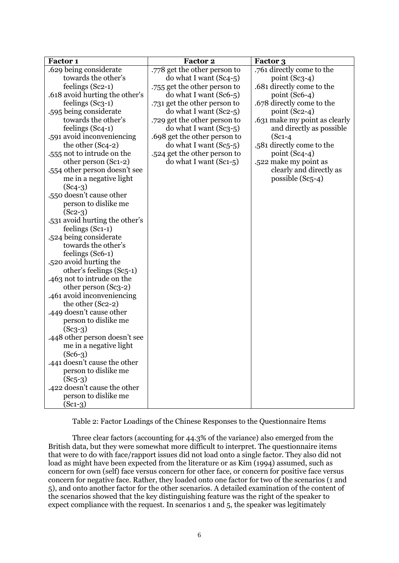| Factor 1                                      | <b>Factor 2</b>                     | Factor 3                      |
|-----------------------------------------------|-------------------------------------|-------------------------------|
| .629 being considerate                        | .778 get the other person to        | .761 directly come to the     |
| towards the other's                           | do what I want (Sc <sub>4</sub> -5) | point $(Sc3-4)$               |
| feelings (Sc2-1)                              | .755 get the other person to        | .681 directly come to the     |
| .618 avoid hurting the other's                | do what I want $(Sc6-5)$            | point $(Sc6-4)$               |
| feelings $(Sc3-1)$                            | .731 get the other person to        | .678 directly come to the     |
| .595 being considerate                        | do what I want $(Sc2-5)$            | point $(Sc2-4)$               |
| towards the other's                           | .729 get the other person to        | .631 make my point as clearly |
| feelings (Sc <sub>4</sub> -1)                 | do what I want (Sc <sub>3</sub> -5) | and directly as possible.     |
| .591 avoid inconveniencing                    | .698 get the other person to        | $(Sc1-4)$                     |
| the other $(Sc4-2)$                           | do what I want $(Sc5-5)$            | .581 directly come to the     |
| .555 not to intrude on the                    | .524 get the other person to        | point $(Sc4-4)$               |
| other person (Sc <sub>1</sub> -2)             | $\chi$ do what I want (Sc1-5)       | .522 make my point as         |
| .554 other person doesn't see                 |                                     | clearly and directly as       |
| me in a negative light                        |                                     | possible $(Sc5-4)$            |
| $(Sc4-3)$                                     |                                     |                               |
| .550 doesn't cause other                      |                                     |                               |
| person to dislike me                          |                                     |                               |
| $(Sc2-3)$                                     |                                     |                               |
| .531 avoid hurting the other's                |                                     |                               |
| feelings (Sc1-1)                              |                                     |                               |
| .524 being considerate<br>towards the other's |                                     |                               |
| feelings (Sc6-1)                              |                                     |                               |
| .520 avoid hurting the                        |                                     |                               |
| other's feelings (Sc5-1)                      |                                     |                               |
| .463 not to intrude on the                    |                                     |                               |
| other person (Sc <sub>3</sub> -2)             |                                     |                               |
| .461 avoid inconveniencing                    |                                     |                               |
| the other (Sc2-2)                             |                                     |                               |
| .449 doesn't cause other                      |                                     |                               |
| person to dislike me                          |                                     |                               |
| $(Sc3-3)$                                     |                                     |                               |
| .448 other person doesn't see                 |                                     |                               |
| me in a negative light                        |                                     |                               |
| $(Sc6-3)$                                     |                                     |                               |
| .441 doesn't cause the other                  |                                     |                               |
| person to dislike me                          |                                     |                               |
| $(Sc5-3)$                                     |                                     |                               |
| .422 doesn't cause the other                  |                                     |                               |
| person to dislike me                          |                                     |                               |
| $(Sc1-3)$                                     |                                     |                               |

Table 2: Factor Loadings of the Chinese Responses to the Questionnaire Items

Three clear factors (accounting for 44.3% of the variance) also emerged from the British data, but they were somewhat more difficult to interpret. The questionnaire items that were to do with face/rapport issues did not load onto a single factor. They also did not load as might have been expected from the literature or as Kim (1994) assumed, such as concern for own (self) face versus concern for other face, or concern for positive face versus concern for negative face. Rather, they loaded onto one factor for two of the scenarios (1 and 5), and onto another factor for the other scenarios. A detailed examination of the content of the scenarios showed that the key distinguishing feature was the right of the speaker to expect compliance with the request. In scenarios 1 and 5, the speaker was legitimately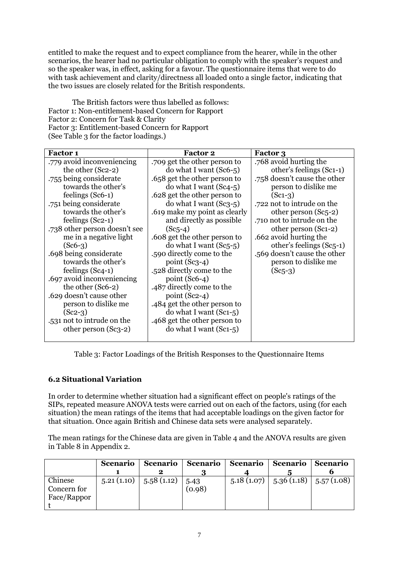entitled to make the request and to expect compliance from the hearer, while in the other scenarios, the hearer had no particular obligation to comply with the speaker's request and so the speaker was, in effect, asking for a favour. The questionnaire items that were to do with task achievement and clarity/directness all loaded onto a single factor, indicating that the two issues are closely related for the British respondents.

The British factors were thus labelled as follows: Factor 1: Non-entitlement-based Concern for Rapport Factor 2: Concern for Task & Clarity Factor 3: Entitlement-based Concern for Rapport (See Table 3 for the factor loadings.)

| <b>Factor 1</b>               | <b>Factor 2</b>                      | <b>Factor 3</b>                       |
|-------------------------------|--------------------------------------|---------------------------------------|
| .779 avoid inconveniencing.   | .709 get the other person to         | .768 avoid hurting the                |
| the other (Sc2-2)             | do what I want $(Sc6-5)$             | other's feelings (Sc <sub>1</sub> -1) |
| .755 being considerate        | .658 get the other person to         | .758 doesn't cause the other          |
| towards the other's           | do what I want $(Sc4-5)$             | person to dislike me                  |
| feelings (Sc6-1)              | .628 get the other person to         | $(Sc1-3)$                             |
| .751 being considerate        | $\frac{1}{2}$ do what I want (Sc3-5) | .722 not to intrude on the            |
| towards the other's           | .619 make my point as clearly        | other person $(Sc5-2)$                |
| feelings (Sc2-1)              | and directly as possible             | .710 not to intrude on the            |
| .738 other person doesn't see | $(Sc_{5-4})$                         | other person (Sc <sub>1</sub> -2)     |
| me in a negative light        | .608 get the other person to         | .662 avoid hurting the                |
| $(Sc6-3)$                     | do what I want $(Sc_{5} - 5)$        | other's feelings (Sc <sub>5</sub> -1) |
| .698 being considerate        | .590 directly come to the            | .569 doesn't cause the other          |
| towards the other's           | point $(Sc3-4)$                      | person to dislike me                  |
| feelings $(Sc4-1)$            | .528 directly come to the            | $(Sc_{5-3})$                          |
| .697 avoid inconveniencing    | point $(Sc6-4)$                      |                                       |
| the other $(Sc6-2)$           | .487 directly come to the            |                                       |
| .629 doesn't cause other      | point $(Sc2-4)$                      |                                       |
| person to dislike me          | .484 get the other person to         |                                       |
| $(Sc2-3)$                     | $\chi$ do what I want (Sc1-5)        |                                       |
| .531 not to intrude on the    | .468 get the other person to         |                                       |
| other person (Sc3-2)          | do what I want $(Sc1-5)$             |                                       |
|                               |                                      |                                       |

Table 3: Factor Loadings of the British Responses to the Questionnaire Items

### **6.2 Situational Variation**

In order to determine whether situation had a significant effect on people's ratings of the SIPs, repeated measure ANOVA tests were carried out on each of the factors, using (for each situation) the mean ratings of the items that had acceptable loadings on the given factor for that situation. Once again British and Chinese data sets were analysed separately.

The mean ratings for the Chinese data are given in Table 4 and the ANOVA results are given in Table 8 in Appendix 2.

|                        | <b>Scenario</b> | <b>Scenario</b>             | <b>Scenario</b> | <b>Scenario</b> | <b>Scenario</b>                      | <b>Scenario</b> |
|------------------------|-----------------|-----------------------------|-----------------|-----------------|--------------------------------------|-----------------|
|                        |                 |                             |                 |                 |                                      |                 |
| Chinese<br>Concern for |                 | $5.21(1.10)$   $5.58(1.12)$ | 5.43<br>(0.98)  |                 | $5.18(1.07)$ 5.36 (1.18) 5.57 (1.08) |                 |
| Face/Rappor            |                 |                             |                 |                 |                                      |                 |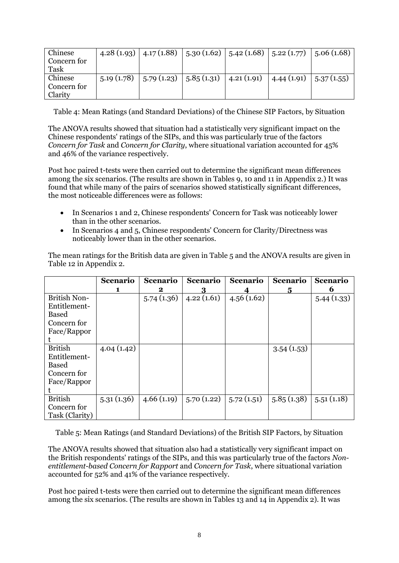| Chinese     |            |                                                             | $4.28(1.93)$   $4.17(1.88)$   $5.30(1.62)$   $5.42(1.68)$   $5.22(1.77)$   $5.06(1.68)$ |            |                        |
|-------------|------------|-------------------------------------------------------------|-----------------------------------------------------------------------------------------|------------|------------------------|
| Concern for |            |                                                             |                                                                                         |            |                        |
| Task        |            |                                                             |                                                                                         |            |                        |
| Chinese     | 5.19(1.78) | $\vert$ 5.79 (1.23) $\vert$ 5.85 (1.31) $\vert$ 4.21 (1.91) |                                                                                         | 4.44(1.91) | $\frac{1}{5.37}(1.55)$ |
| Concern for |            |                                                             |                                                                                         |            |                        |
| Clarity     |            |                                                             |                                                                                         |            |                        |

Table 4: Mean Ratings (and Standard Deviations) of the Chinese SIP Factors, by Situation

The ANOVA results showed that situation had a statistically very significant impact on the Chinese respondents' ratings of the SIPs, and this was particularly true of the factors *Concern for Task* and *Concern for Clarity*, where situational variation accounted for 45% and 46% of the variance respectively.

Post hoc paired t-tests were then carried out to determine the significant mean differences among the six scenarios. (The results are shown in Tables 9, 10 and 11 in Appendix 2.) It was found that while many of the pairs of scenarios showed statistically significant differences, the most noticeable differences were as follows:

- In Scenarios 1 and 2, Chinese respondents' Concern for Task was noticeably lower than in the other scenarios.
- In Scenarios 4 and 5, Chinese respondents' Concern for Clarity/Directness was noticeably lower than in the other scenarios.

The mean ratings for the British data are given in Table 5 and the ANOVA results are given in Table 12 in Appendix 2.

|                | <b>Scenario</b> | <b>Scenario</b> | <b>Scenario</b> | <b>Scenario</b> | <b>Scenario</b> | <b>Scenario</b> |
|----------------|-----------------|-----------------|-----------------|-----------------|-----------------|-----------------|
|                | 1               | 2               | 3               |                 | 5               | 6               |
| British Non-   |                 | 5.74(1.36)      | 4.22(1.61)      | 4.56(1.62)      |                 | 5.44(1.33)      |
| Entitlement-   |                 |                 |                 |                 |                 |                 |
| <b>Based</b>   |                 |                 |                 |                 |                 |                 |
| Concern for    |                 |                 |                 |                 |                 |                 |
| Face/Rappor    |                 |                 |                 |                 |                 |                 |
|                |                 |                 |                 |                 |                 |                 |
| <b>British</b> | 4.04(1.42)      |                 |                 |                 | 3.54(1.53)      |                 |
| Entitlement-   |                 |                 |                 |                 |                 |                 |
| <b>Based</b>   |                 |                 |                 |                 |                 |                 |
| Concern for    |                 |                 |                 |                 |                 |                 |
| Face/Rappor    |                 |                 |                 |                 |                 |                 |
|                |                 |                 |                 |                 |                 |                 |
| <b>British</b> | 5.31(1.36)      | 4.66(1.19)      | 5.70(1.22)      | 5.72(1.51)      | 5.85(1.38)      | 5.51(1.18)      |
| Concern for    |                 |                 |                 |                 |                 |                 |
| Task (Clarity) |                 |                 |                 |                 |                 |                 |

Table 5: Mean Ratings (and Standard Deviations) of the British SIP Factors, by Situation

The ANOVA results showed that situation also had a statistically very significant impact on the British respondents' ratings of the SIPs, and this was particularly true of the factors *Nonentitlement-based Concern for Rapport* and *Concern for Task*, where situational variation accounted for 52% and 41% of the variance respectively.

Post hoc paired t-tests were then carried out to determine the significant mean differences among the six scenarios. (The results are shown in Tables 13 and 14 in Appendix 2). It was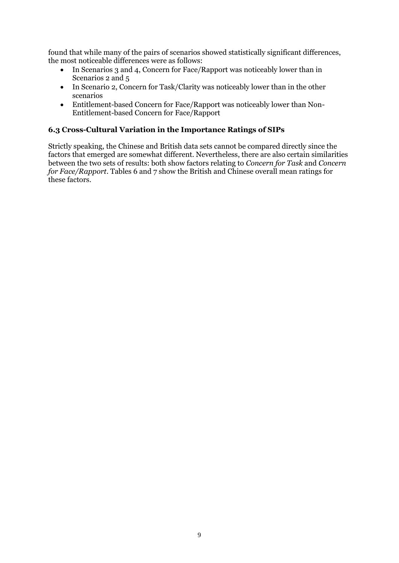found that while many of the pairs of scenarios showed statistically significant differences, the most noticeable differences were as follows:

- In Scenarios 3 and 4, Concern for Face/Rapport was noticeably lower than in Scenarios 2 and 5
- In Scenario 2, Concern for Task/Clarity was noticeably lower than in the other scenarios
- Entitlement-based Concern for Face/Rapport was noticeably lower than Non-Entitlement-based Concern for Face/Rapport

# **6.3 Cross-Cultural Variation in the Importance Ratings of SIPs**

Strictly speaking, the Chinese and British data sets cannot be compared directly since the factors that emerged are somewhat different. Nevertheless, there are also certain similarities between the two sets of results: both show factors relating to *Concern for Task* and *Concern for Face/Rapport*. Tables 6 and 7 show the British and Chinese overall mean ratings for these factors.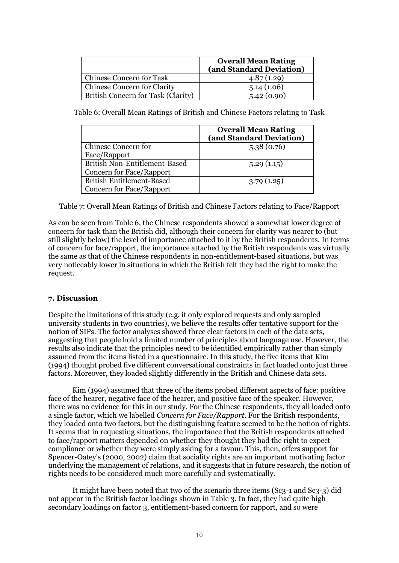|                                    | <b>Overall Mean Rating</b><br>(and Standard Deviation) |
|------------------------------------|--------------------------------------------------------|
| <b>Chinese Concern for Task</b>    | 4.87(1.29)                                             |
| <b>Chinese Concern for Clarity</b> | 5.14(1.06)                                             |
| British Concern for Task (Clarity) | 5.42(0.90)                                             |

Table 6: Overall Mean Ratings of British and Chinese Factors relating to Task

|                                  | <b>Overall Mean Rating</b><br>(and Standard Deviation) |
|----------------------------------|--------------------------------------------------------|
| Chinese Concern for              | 5.38(0.76)                                             |
| Face/Rapport                     |                                                        |
| British Non-Entitlement-Based    | 5.29(1.15)                                             |
| Concern for Face/Rapport         |                                                        |
| <b>British Entitlement-Based</b> | 3.79(1.25)                                             |
| Concern for Face/Rapport         |                                                        |

Table 7: Overall Mean Ratings of British and Chinese Factors relating to Face/Rapport

As can be seen from Table 6, the Chinese respondents showed a somewhat lower degree of concern for task than the British did, although their concern for clarity was nearer to (but still slightly below) the level of importance attached to it by the British respondents. In terms of concern for face/rapport, the importance attached by the British respondents was virtually the same as that of the Chinese respondents in non-entitlement-based situations, but was very noticeably lower in situations in which the British felt they had the right to make the request.

### **7. Discussion**

Despite the limitations of this study (e.g. it only explored requests and only sampled university students in two countries), we believe the results offer tentative support for the notion of SIPs. The factor analyses showed three clear factors in each of the data sets, suggesting that people hold a limited number of principles about language use. However, the results also indicate that the principles need to be identified empirically rather than simply assumed from the items listed in a questionnaire. In this study, the five items that Kim (1994) thought probed five different conversational constraints in fact loaded onto just three factors. Moreover, they loaded slightly differently in the British and Chinese data sets.

Kim (1994) assumed that three of the items probed different aspects of face: positive face of the hearer, negative face of the hearer, and positive face of the speaker. However, there was no evidence for this in our study. For the Chinese respondents, they all loaded onto a single factor, which we labelled *Concern for Face/Rapport*. For the British respondents, they loaded onto two factors, but the distinguishing feature seemed to be the notion of rights. It seems that in requesting situations, the importance that the British respondents attached to face/rapport matters depended on whether they thought they had the right to expect compliance or whether they were simply asking for a favour. This, then, offers support for Spencer-Oatey's (2000, 2002) claim that sociality rights are an important motivating factor underlying the management of relations, and it suggests that in future research, the notion of rights needs to be considered much more carefully and systematically.

It might have been noted that two of the scenario three items (Sc3-1 and Sc3-3) did not appear in the British factor loadings shown in Table 3. In fact, they had quite high secondary loadings on factor 3, entitlement-based concern for rapport, and so were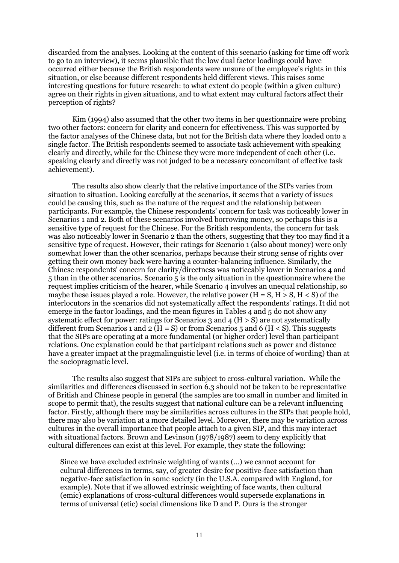discarded from the analyses. Looking at the content of this scenario (asking for time off work to go to an interview), it seems plausible that the low dual factor loadings could have occurred either because the British respondents were unsure of the employee's rights in this situation, or else because different respondents held different views. This raises some interesting questions for future research: to what extent do people (within a given culture) agree on their rights in given situations, and to what extent may cultural factors affect their perception of rights?

Kim (1994) also assumed that the other two items in her questionnaire were probing two other factors: concern for clarity and concern for effectiveness. This was supported by the factor analyses of the Chinese data, but not for the British data where they loaded onto a single factor. The British respondents seemed to associate task achievement with speaking clearly and directly, while for the Chinese they were more independent of each other (i.e. speaking clearly and directly was not judged to be a necessary concomitant of effective task achievement).

The results also show clearly that the relative importance of the SIPs varies from situation to situation. Looking carefully at the scenarios, it seems that a variety of issues could be causing this, such as the nature of the request and the relationship between participants. For example, the Chinese respondents' concern for task was noticeably lower in Scenarios 1 and 2. Both of these scenarios involved borrowing money, so perhaps this is a sensitive type of request for the Chinese. For the British respondents, the concern for task was also noticeably lower in Scenario 2 than the others, suggesting that they too may find it a sensitive type of request. However, their ratings for Scenario 1 (also about money) were only somewhat lower than the other scenarios, perhaps because their strong sense of rights over getting their own money back were having a counter-balancing influence. Similarly, the Chinese respondents' concern for clarity/directness was noticeably lower in Scenarios 4 and 5 than in the other scenarios. Scenario 5 is the only situation in the questionnaire where the request implies criticism of the hearer, while Scenario 4 involves an unequal relationship, so maybe these issues played a role. However, the relative power  $(H = S, H > S, H < S)$  of the interlocutors in the scenarios did not systematically affect the respondents' ratings. It did not emerge in the factor loadings, and the mean figures in Tables 4 and 5 do not show any systematic effect for power: ratings for Scenarios 3 and 4 (H > S) are not systematically different from Scenarios 1 and 2 ( $H = S$ ) or from Scenarios 5 and 6 ( $H < S$ ). This suggests that the SIPs are operating at a more fundamental (or higher order) level than participant relations. One explanation could be that participant relations such as power and distance have a greater impact at the pragmalinguistic level (i.e. in terms of choice of wording) than at the sociopragmatic level.

The results also suggest that SIPs are subject to cross-cultural variation. While the similarities and differences discussed in section 6.3 should not be taken to be representative of British and Chinese people in general (the samples are too small in number and limited in scope to permit that), the results suggest that national culture can be a relevant influencing factor. Firstly, although there may be similarities across cultures in the SIPs that people hold, there may also be variation at a more detailed level. Moreover, there may be variation across cultures in the overall importance that people attach to a given SIP, and this may interact with situational factors. Brown and Levinson (1978/1987) seem to deny explicitly that cultural differences can exist at this level. For example, they state the following:

Since we have excluded extrinsic weighting of wants (…) we cannot account for cultural differences in terms, say, of greater desire for positive-face satisfaction than negative-face satisfaction in some society (in the U.S.A. compared with England, for example). Note that if we allowed extrinsic weighting of face wants, then cultural (emic) explanations of cross-cultural differences would supersede explanations in terms of universal (etic) social dimensions like D and P. Ours is the stronger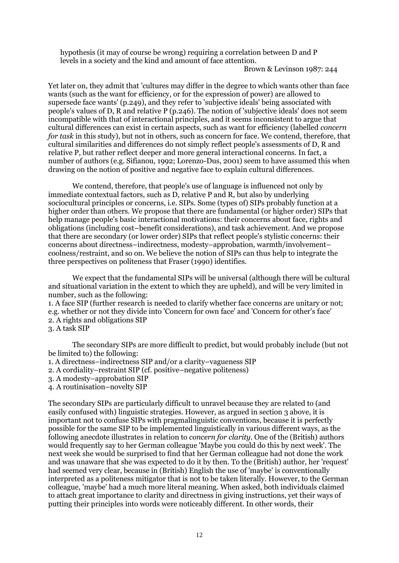hypothesis (it may of course be wrong) requiring a correlation between D and P levels in a society and the kind and amount of face attention.

Brown & Levinson 1987: 244

Yet later on, they admit that 'cultures may differ in the degree to which wants other than face wants (such as the want for efficiency, or for the expression of power) are allowed to supersede face wants' (p.249), and they refer to 'subjective ideals' being associated with people's values of D, R and relative P (p.246). The notion of 'subjective ideals' does not seem incompatible with that of interactional principles, and it seems inconsistent to argue that cultural differences can exist in certain aspects, such as want for efficiency (labelled *concern for task* in this study), but not in others, such as concern for face. We contend, therefore, that cultural similarities and differences do not simply reflect people's assessments of D, R and relative P, but rather reflect deeper and more general interactional concerns. In fact, a number of authors (e.g. Sifianou, 1992; Lorenzo-Dus, 2001) seem to have assumed this when drawing on the notion of positive and negative face to explain cultural differences.

We contend, therefore, that people's use of language is influenced not only by immediate contextual factors, such as D, relative P and R, but also by underlying sociocultural principles or concerns, i.e. SIPs. Some (types of) SIPs probably function at a higher order than others. We propose that there are fundamental (or higher order) SIPs that help manage people's basic interactional motivations: their concerns about face, rights and obligations (including cost–benefit considerations), and task achievement. And we propose that there are secondary (or lower order) SIPs that reflect people's stylistic concerns: their concerns about directness–indirectness, modesty–approbation, warmth/involvement– coolness/restraint, and so on. We believe the notion of SIPs can thus help to integrate the three perspectives on politeness that Fraser (1990) identifies.

We expect that the fundamental SIPs will be universal (although there will be cultural and situational variation in the extent to which they are upheld), and will be very limited in number, such as the following:

1. A face SIP (further research is needed to clarify whether face concerns are unitary or not; e.g. whether or not they divide into 'Concern for own face' and 'Concern for other's face' 2. A rights and obligations SIP

3. A task SIP

The secondary SIPs are more difficult to predict, but would probably include (but not be limited to) the following:

- 1. A directness–indirectness SIP and/or a clarity–vagueness SIP
- 2. A cordiality–restraint SIP (cf. positive–negative politeness)
- 3. A modesty–approbation SIP
- 4. A routinisation–novelty SIP

The secondary SIPs are particularly difficult to unravel because they are related to (and easily confused with) linguistic strategies. However, as argued in section 3 above, it is important not to confuse SIPs with pragmalinguistic conventions, because it is perfectly possible for the same SIP to be implemented linguistically in various different ways, as the following anecdote illustrates in relation to *concern for clarity*. One of the (British) authors would frequently say to her German colleague 'Maybe you could do this by next week'. The next week she would be surprised to find that her German colleague had not done the work and was unaware that she was expected to do it by then. To the (British) author, her 'request' had seemed very clear, because in (British) English the use of 'maybe' is conventionally interpreted as a politeness mitigator that is not to be taken literally. However, to the German colleague, 'maybe' had a much more literal meaning. When asked, both individuals claimed to attach great importance to clarity and directness in giving instructions, yet their ways of putting their principles into words were noticeably different. In other words, their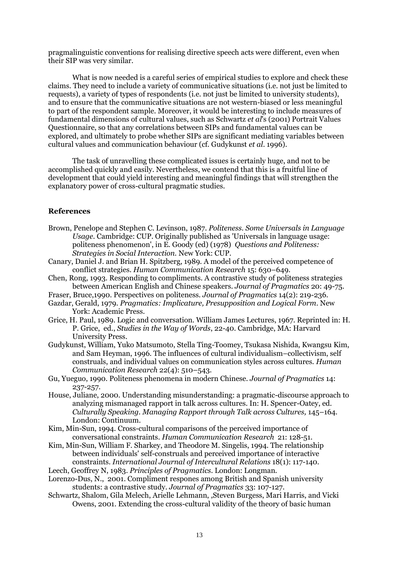pragmalinguistic conventions for realising directive speech acts were different, even when their SIP was very similar.

What is now needed is a careful series of empirical studies to explore and check these claims. They need to include a variety of communicative situations (i.e. not just be limited to requests), a variety of types of respondents (i.e. not just be limited to university students), and to ensure that the communicative situations are not western-biased or less meaningful to part of the respondent sample. Moreover, it would be interesting to include measures of fundamental dimensions of cultural values, such as Schwartz *et al*'s (2001) Portrait Values Questionnaire, so that any correlations between SIPs and fundamental values can be explored, and ultimately to probe whether SIPs are significant mediating variables between cultural values and communication behaviour (cf. Gudykunst *et al*. 1996).

The task of unravelling these complicated issues is certainly huge, and not to be accomplished quickly and easily. Nevertheless, we contend that this is a fruitful line of development that could yield interesting and meaningful findings that will strengthen the explanatory power of cross-cultural pragmatic studies.

#### **References**

- Brown, Penelope and Stephen C. Levinson, 1987. *Politeness. Some Universals in Language Usage*. Cambridge: CUP. Originally published as 'Universals in language usage: politeness phenomenon', in E. Goody (ed) (1978) *Questions and Politeness: Strategies in Social Interaction.* New York: CUP.
- Canary, Daniel J. and Brian H. Spitzberg, 1989. A model of the perceived competence of conflict strategies. *Human Communication Research* 15: 630–649.
- Chen, Rong, 1993. Responding to compliments. A contrastive study of politeness strategies between American English and Chinese speakers. *Journal of Pragmatics* 20: 49-75.
- Fraser, Bruce,1990. Perspectives on politeness. *Journal of Pragmatics* 14(2): 219-236.
- Gazdar, Gerald, 1979. *Pragmatics: Implicature, Presupposition and Logical Form*. New York: Academic Press.
- Grice, H. Paul, 1989. Logic and conversation. William James Lectures, 1967. Reprinted in: H. P. Grice, ed., *Studies in the Way of Words*, 22-40. Cambridge, MA: Harvard University Press.
- Gudykunst, William, Yuko Matsumoto, Stella Ting-Toomey, Tsukasa Nishida, Kwangsu Kim, and Sam Heyman, 1996. The influences of cultural individualism–collectivism, self construals, and individual values on communication styles across cultures. *Human Communication Research* 22(4): 510–543.
- Gu, Yueguo, 1990. Politeness phenomena in modern Chinese. *Journal of Pragmatics* 14: 237-257.
- House, Juliane, 2000. Understanding misunderstanding: a pragmatic-discourse approach to analyzing mismanaged rapport in talk across cultures. In: H. Spencer-Oatey, ed. *Culturally Speaking. Managing Rapport through Talk across Cultures,* 145–164*.*  London: Continuum.
- Kim, Min-Sun, 1994. Cross-cultural comparisons of the perceived importance of conversational constraints. *Human Communication Research* 21: 128-51.
- Kim, Min-Sun, William F. Sharkey, and Theodore M. Singelis, 1994. The relationship between individuals' self-construals and perceived importance of interactive constraints. *International Journal of Intercultural Relations* 18(1): 117-140.
- Leech, Geoffrey N, 1983. *Principles of Pragmatics*. London: Longman.
- Lorenzo-Dus, N., 2001. Compliment respones among British and Spanish university students: a contrastive study. *Journal of Pragmatics* 33: 107-127.
- Schwartz, Shalom, Gila Melech, Arielle Lehmann, ,Steven Burgess, Mari Harris, and Vicki Owens, 2001. Extending the cross-cultural validity of the theory of basic human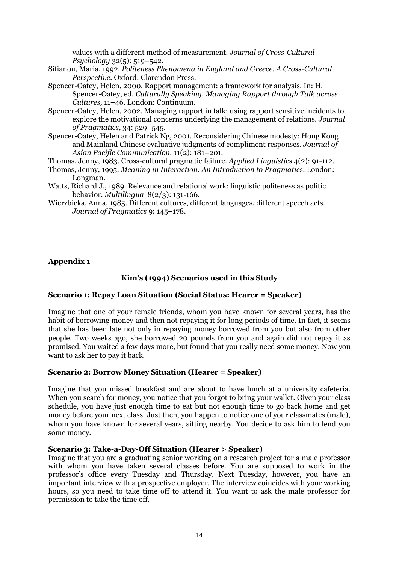values with a different method of measurement. *Journal of Cross-Cultural Psychology* 32(5): 519–542.

- Sifianou, Maria, 1992. *Politeness Phenomena in England and Greece. A Cross-Cultural Perspective*. Oxford: Clarendon Press.
- Spencer-Oatey, Helen, 2000. Rapport management: a framework for analysis. In: H. Spencer-Oatey, ed. *Culturally Speaking. Managing Rapport through Talk across Cultures,* 11–46*.* London: Continuum.
- Spencer-Oatey, Helen, 2002. Managing rapport in talk: using rapport sensitive incidents to explore the motivational concerns underlying the management of relations. *Journal of Pragmatics*, 34: 529–545.
- Spencer-Oatey, Helen and Patrick Ng, 2001. Reconsidering Chinese modesty: Hong Kong and Mainland Chinese evaluative judgments of compliment responses. *Journal of Asian Pacific Communication.* 11(2): 181–201.
- Thomas, Jenny, 1983. Cross-cultural pragmatic failure. *Applied Linguistics* 4(2): 91-112.
- Thomas, Jenny, 1995. *Meaning in Interaction. An Introduction to Pragmatics*. London: Longman.
- Watts, Richard J., 1989. Relevance and relational work: linguistic politeness as politic behavior. *Multilingua* 8(2/3): 131-166.
- Wierzbicka, Anna, 1985. Different cultures, different languages, different speech acts. *Journal of Pragmatics* 9: 145–178.

# **Appendix 1**

# **Kim's (1994) Scenarios used in this Study**

### **Scenario 1: Repay Loan Situation (Social Status: Hearer = Speaker)**

Imagine that one of your female friends, whom you have known for several years, has the habit of borrowing money and then not repaying it for long periods of time. In fact, it seems that she has been late not only in repaying money borrowed from you but also from other people. Two weeks ago, she borrowed 20 pounds from you and again did not repay it as promised. You waited a few days more, but found that you really need some money. Now you want to ask her to pay it back.

### **Scenario 2: Borrow Money Situation (Hearer = Speaker)**

Imagine that you missed breakfast and are about to have lunch at a university cafeteria. When you search for money, you notice that you forgot to bring your wallet. Given your class schedule, you have just enough time to eat but not enough time to go back home and get money before your next class. Just then, you happen to notice one of your classmates (male), whom you have known for several years, sitting nearby. You decide to ask him to lend you some money.

#### **Scenario 3: Take-a-Day-Off Situation (Hearer > Speaker)**

Imagine that you are a graduating senior working on a research project for a male professor with whom you have taken several classes before. You are supposed to work in the professor's office every Tuesday and Thursday. Next Tuesday, however, you have an important interview with a prospective employer. The interview coincides with your working hours, so you need to take time off to attend it. You want to ask the male professor for permission to take the time off.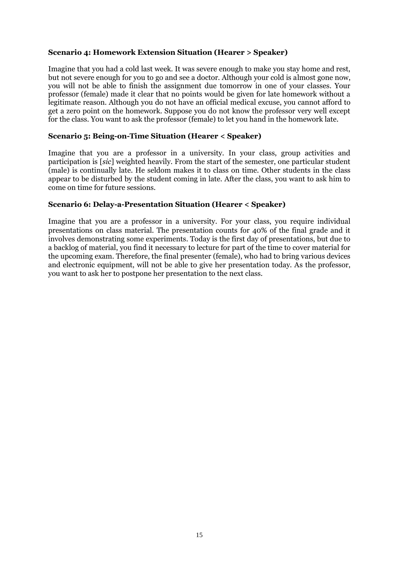# **Scenario 4: Homework Extension Situation (Hearer > Speaker)**

Imagine that you had a cold last week. It was severe enough to make you stay home and rest, but not severe enough for you to go and see a doctor. Although your cold is almost gone now, you will not be able to finish the assignment due tomorrow in one of your classes. Your professor (female) made it clear that no points would be given for late homework without a legitimate reason. Although you do not have an official medical excuse, you cannot afford to get a zero point on the homework. Suppose you do not know the professor very well except for the class. You want to ask the professor (female) to let you hand in the homework late.

### **Scenario 5: Being-on-Time Situation (Hearer < Speaker)**

Imagine that you are a professor in a university. In your class, group activities and participation is [*sic*] weighted heavily. From the start of the semester, one particular student (male) is continually late. He seldom makes it to class on time. Other students in the class appear to be disturbed by the student coming in late. After the class, you want to ask him to come on time for future sessions.

#### **Scenario 6: Delay-a-Presentation Situation (Hearer < Speaker)**

Imagine that you are a professor in a university. For your class, you require individual presentations on class material. The presentation counts for 40% of the final grade and it involves demonstrating some experiments. Today is the first day of presentations, but due to a backlog of material, you find it necessary to lecture for part of the time to cover material for the upcoming exam. Therefore, the final presenter (female), who had to bring various devices and electronic equipment, will not be able to give her presentation today. As the professor, you want to ask her to postpone her presentation to the next class.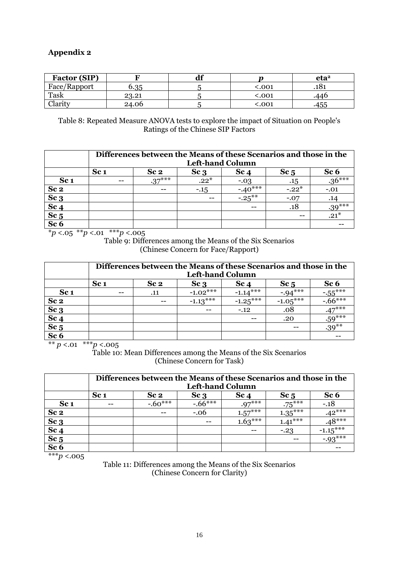# **Appendix 2**

| <b>Factor (SIP)</b> |       | aı | n        | eta <sup>2</sup> |
|---------------------|-------|----|----------|------------------|
| Face/Rapport        | 6.35  |    | < .001   | .181             |
| Task                | 23.21 |    | $<$ .001 | .446             |
| Clarity             | 24.06 |    | <.001    | $-455$           |

Table 8: Repeated Measure ANOVA tests to explore the impact of Situation on People's Ratings of the Chinese SIP Factors

|                                      | Differences between the Means of these Scenarios and those in the<br><b>Left-hand Column</b> |                                                                                               |        |           |         |          |  |  |  |
|--------------------------------------|----------------------------------------------------------------------------------------------|-----------------------------------------------------------------------------------------------|--------|-----------|---------|----------|--|--|--|
|                                      | Sc <sub>1</sub>                                                                              | Sc <sub>6</sub><br>Sc <sub>2</sub><br>$\operatorname{Sc} 3$<br>$\bf Sc\,4$<br>Sc <sub>5</sub> |        |           |         |          |  |  |  |
| Sc <sub>1</sub>                      | --                                                                                           | $.37***$                                                                                      | $.22*$ | $-.03$    | .15     | $.36***$ |  |  |  |
| Sc <sub>2</sub>                      |                                                                                              | --                                                                                            | $-.15$ | $-.40***$ | $-.22*$ | $-.01$   |  |  |  |
|                                      |                                                                                              |                                                                                               | --     | $-.25***$ | $-.07$  | .14      |  |  |  |
|                                      |                                                                                              |                                                                                               |        | --        | .18     | $.39***$ |  |  |  |
| Sc 3<br>Sc 4<br>Sc 5<br>Sc 5<br>Sc 6 |                                                                                              |                                                                                               |        |           | --      | $.21*$   |  |  |  |
|                                      |                                                                                              |                                                                                               |        |           |         |          |  |  |  |

\**p* <.05 \*\**p* <.01 \*\*\**p* <.005

Table 9: Differences among the Means of the Six Scenarios (Chinese Concern for Face/Rapport)

|                              | Differences between the Means of these Scenarios and those in the<br><b>Left-hand Column</b> |                                                                                                              |            |            |            |            |  |  |  |
|------------------------------|----------------------------------------------------------------------------------------------|--------------------------------------------------------------------------------------------------------------|------------|------------|------------|------------|--|--|--|
|                              | Sc <sub>1</sub>                                                                              | Sc <sub>6</sub><br>Sc <sub>2</sub><br>$\operatorname{Sc} 3$<br>$\operatorname{Sc}4$<br>$\operatorname{Sc} 5$ |            |            |            |            |  |  |  |
| Sc <sub>1</sub>              | $- -$                                                                                        | .11                                                                                                          | $-1.02***$ | $-1.14***$ | $-0.94***$ | $-55***$   |  |  |  |
| Sc <sub>2</sub>              |                                                                                              |                                                                                                              | $-1.13***$ | $-1.25***$ | $-1.05***$ | $-0.66***$ |  |  |  |
|                              |                                                                                              |                                                                                                              |            | $-.12$     | .08        | $.47***$   |  |  |  |
|                              |                                                                                              |                                                                                                              |            | --         | .20        | $.59***$   |  |  |  |
| Sc 3<br>Sc 4<br>Sc 5<br>Sc 6 |                                                                                              |                                                                                                              |            |            |            | $.39***$   |  |  |  |
|                              |                                                                                              |                                                                                                              |            |            |            |            |  |  |  |

\*\* *p* <.01 \*\*\**p* <.005

Table 10: Mean Differences among the Means of the Six Scenarios (Chinese Concern for Task)

|                                      | Differences between the Means of these Scenarios and those in the<br><b>Left-hand Column</b> |                                                                                                   |           |           |           |                        |  |  |  |
|--------------------------------------|----------------------------------------------------------------------------------------------|---------------------------------------------------------------------------------------------------|-----------|-----------|-----------|------------------------|--|--|--|
|                                      | Sc <sub>1</sub>                                                                              | Sc <sub>2</sub><br>Sc <sub>6</sub><br>$\operatorname{Sc} 3$<br>Sc <sub>4</sub><br>Sc <sub>5</sub> |           |           |           |                        |  |  |  |
| Sc <sub>1</sub>                      | --                                                                                           | $-0.60***$                                                                                        | $-.66***$ | $.97***$  | $.75***$  | $-.18$                 |  |  |  |
| Sc <sub>2</sub>                      |                                                                                              | --                                                                                                | $-.06$    | $1.57***$ | $1.35***$ | $.42^{\overline{***}}$ |  |  |  |
|                                      |                                                                                              |                                                                                                   | $- -$     | $1.63***$ | $1.41***$ | $.48***$               |  |  |  |
|                                      |                                                                                              |                                                                                                   |           | $- -$     | $-.23$    | $-1.15***$             |  |  |  |
| Sc 3<br>Sc 4<br>Sc 5<br>Sc 5<br>Sc 6 |                                                                                              |                                                                                                   |           |           | --        | $-0.93***$             |  |  |  |
|                                      |                                                                                              |                                                                                                   |           |           |           |                        |  |  |  |

 $\sqrt{x}$ \*\**p* <.005

Table 11: Differences among the Means of the Six Scenarios (Chinese Concern for Clarity)